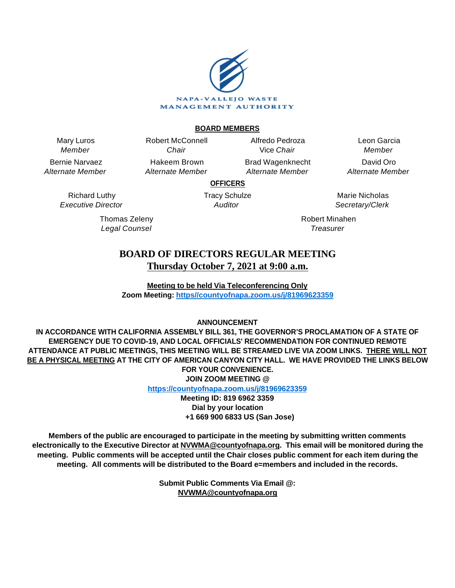

### **BOARD MEMBERS**

Mary Luros Member

Bernie Narvaez Alternate Member

Chair Hakeem Brown Alternate Member

Robert McConnell

Alfredo Pedroza Vice Chair Brad Wagenknecht

Alternate Member

Leon Garcia Member David Oro Alternate Member

**OFFICERS**

Richard Luthy Executive Director

> Thomas Zeleny Legal Counsel

Tracy Schulze **Auditor** 

Marie Nicholas Secretary/Clerk

Robert Minahen **Treasurer** 

# **BOARD OF DIRECTORS REGULAR MEETING Thursday October 7, 2021 at 9:00 a.m.**

**Meeting to be held Via Teleconferencing Only Zoom Meeting: [https//countyofnapa.zoom.us/j/81969623359](http://intranetprod01/AgendaNet/Reports/https//countyofnapa.zoom.us/j/99111938225)**

# **ANNOUNCEMENT**

**IN ACCORDANCE WITH CALIFORNIA ASSEMBLY BILL 361, THE GOVERNOR'S PROCLAMATION OF A STATE OF EMERGENCY DUE TO COVID-19, AND LOCAL OFFICIALS' RECOMMENDATION FOR CONTINUED REMOTE ATTENDANCE AT PUBLIC MEETINGS, THIS MEETING WILL BE STREAMED LIVE VIA ZOOM LINKS. THERE WILL NOT BE A PHYSICAL MEETING AT THE CITY OF AMERICAN CANYON CITY HALL. WE HAVE PROVIDED THE LINKS BELOW FOR YOUR CONVENIENCE. JOIN ZOOM MEETING @**

**<https://countyofnapa.zoom.us/j/81969623359>**

**Meeting ID: 819 6962 3359 Dial by your location +1 669 900 6833 US (San Jose)**

**Members of the public are encouraged to participate in the meeting by submitting written comments electronically to the Executive Director at NVWMA@countyofnapa.org. This email will be monitored during the meeting. Public comments will be accepted until the Chair closes public comment for each item during the meeting. All comments will be distributed to the Board e=members and included in the records.**

> **Submit Public Comments Via Email @: NVWMA@countyofnapa.org**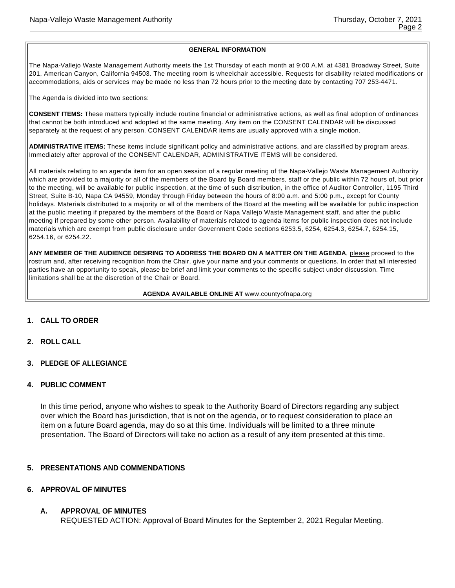#### **GENERAL INFORMATION**

The Napa-Vallejo Waste Management Authority meets the 1st Thursday of each month at 9:00 A.M. at 4381 Broadway Street, Suite 201, American Canyon, California 94503. The meeting room is wheelchair accessible. Requests for disability related modifications or accommodations, aids or services may be made no less than 72 hours prior to the meeting date by contacting 707 253-4471.

The Agenda is divided into two sections:

**CONSENT ITEMS:** These matters typically include routine financial or administrative actions, as well as final adoption of ordinances that cannot be both introduced and adopted at the same meeting. Any item on the CONSENT CALENDAR will be discussed separately at the request of any person. CONSENT CALENDAR items are usually approved with a single motion.

**ADMINISTRATIVE ITEMS:** These items include significant policy and administrative actions, and are classified by program areas. Immediately after approval of the CONSENT CALENDAR, ADMINISTRATIVE ITEMS will be considered.

All materials relating to an agenda item for an open session of a regular meeting of the Napa-Vallejo Waste Management Authority which are provided to a majority or all of the members of the Board by Board members, staff or the public within 72 hours of, but prior to the meeting, will be available for public inspection, at the time of such distribution, in the office of Auditor Controller, 1195 Third Street, Suite B-10, Napa CA 94559, Monday through Friday between the hours of 8:00 a.m. and 5:00 p.m., except for County holidays. Materials distributed to a majority or all of the members of the Board at the meeting will be available for public inspection at the public meeting if prepared by the members of the Board or Napa Vallejo Waste Management staff, and after the public meeting if prepared by some other person. Availability of materials related to agenda items for public inspection does not include materials which are exempt from public disclosure under Government Code sections 6253.5, 6254, 6254.3, 6254.7, 6254.15, 6254.16, or 6254.22.

ANY MEMBER OF THE AUDIENCE DESIRING TO ADDRESS THE BOARD ON A MATTER ON THE AGENDA, please proceed to the rostrum and, after receiving recognition from the Chair, give your name and your comments or questions. In order that all interested parties have an opportunity to speak, please be brief and limit your comments to the specific subject under discussion. Time limitations shall be at the discretion of the Chair or Board.

#### **AGENDA AVAILABLE ONLINE AT** www.countyofnapa.org

#### **1. CALL TO ORDER**

- **2. ROLL CALL**
- **3. PLEDGE OF ALLEGIANCE**

#### **4. PUBLIC COMMENT**

In this time period, anyone who wishes to speak to the Authority Board of Directors regarding any subject over which the Board has jurisdiction, that is not on the agenda, or to request consideration to place an item on a future Board agenda, may do so at this time. Individuals will be limited to a three minute presentation. The Board of Directors will take no action as a result of any item presented at this time.

#### **5. PRESENTATIONS AND COMMENDATIONS**

### **6. APPROVAL OF MINUTES**

#### **A. APPROVAL OF MINUTES**

REQUESTED ACTION: Approval of Board Minutes for the September 2, 2021 Regular Meeting.